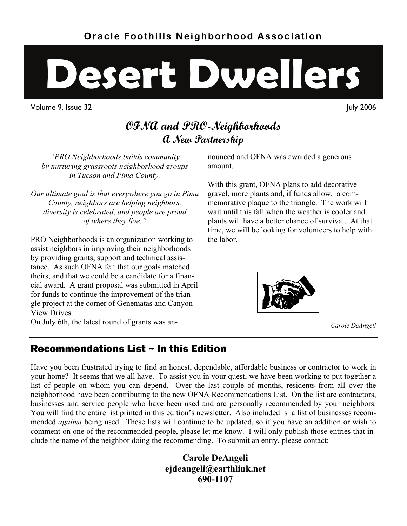# **Desert Dwellers**

Volume 9, Issue 32 July 2006

# **OFNA and PRO-Neighborhoods A New Partnership**

*"PRO Neighborhoods builds community by nurturing grassroots neighborhood groups in Tucson and Pima County.* 

*Our ultimate goal is that everywhere you go in Pima County, neighbors are helping neighbors, diversity is celebrated, and people are proud of where they live."* 

PRO Neighborhoods is an organization working to assist neighbors in improving their neighborhoods by providing grants, support and technical assistance. As such OFNA felt that our goals matched theirs, and that we could be a candidate for a financial award. A grant proposal was submitted in April for funds to continue the improvement of the triangle project at the corner of Genematas and Canyon View Drives.

On July 6th, the latest round of grants was an-

nounced and OFNA was awarded a generous amount.

With this grant, OFNA plans to add decorative gravel, more plants and, if funds allow, a commemorative plaque to the triangle. The work will wait until this fall when the weather is cooler and plants will have a better chance of survival. At that time, we will be looking for volunteers to help with the labor.



*Carole DeAngeli* 

# Recommendations List ~ In this Edition

Have you been frustrated trying to find an honest, dependable, affordable business or contractor to work in your home? It seems that we all have. To assist you in your quest, we have been working to put together a list of people on whom you can depend. Over the last couple of months, residents from all over the neighborhood have been contributing to the new OFNA Recommendations List. On the list are contractors, businesses and service people who have been used and are personally recommended by your neighbors. You will find the entire list printed in this edition's newsletter. Also included is a list of businesses recommended *against* being used. These lists will continue to be updated, so if you have an addition or wish to comment on one of the recommended people, please let me know. I will only publish those entries that include the name of the neighbor doing the recommending. To submit an entry, please contact:

> **Carole DeAngeli ejdeangeli@earthlink.net 690-1107**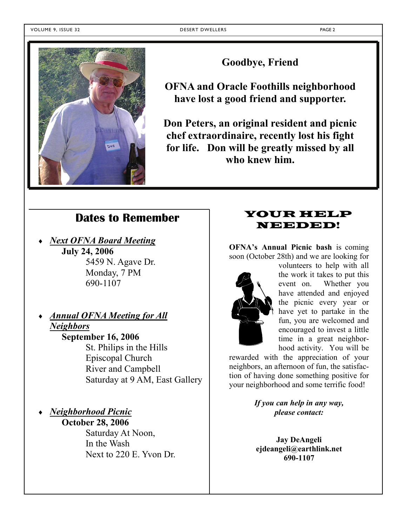

**Goodbye, Friend** 

**OFNA and Oracle Foothills neighborhood have lost a good friend and supporter.** 

**Don Peters, an original resident and picnic chef extraordinaire, recently lost his fight for life. Don will be greatly missed by all who knew him.** 

## **Dates to Remember**

 *Next OFNA Board Meeting* **July 24, 2006**  5459 N. Agave Dr. Monday, 7 PM

690-1107

- *Annual OFNA Meeting for All Neighbors* **September 16, 2006**  St. Philips in the Hills Episcopal Church River and Campbell Saturday at 9 AM, East Gallery
- *Neighborhood Picnic* **October 28, 2006**  Saturday At Noon, In the Wash

Next to 220 E. Yvon Dr.

### YOUR HELP NEEDED!

**OFNA's Annual Picnic bash** is coming soon (October 28th) and we are looking for



volunteers to help with all the work it takes to put this event on. Whether you have attended and enjoyed the picnic every year or have yet to partake in the fun, you are welcomed and encouraged to invest a little time in a great neighborhood activity. You will be

rewarded with the appreciation of your neighbors, an afternoon of fun, the satisfaction of having done something positive for your neighborhood and some terrific food!

> *If you can help in any way, please contact:*

**Jay DeAngeli ejdeangeli@earthlink.net 690-1107**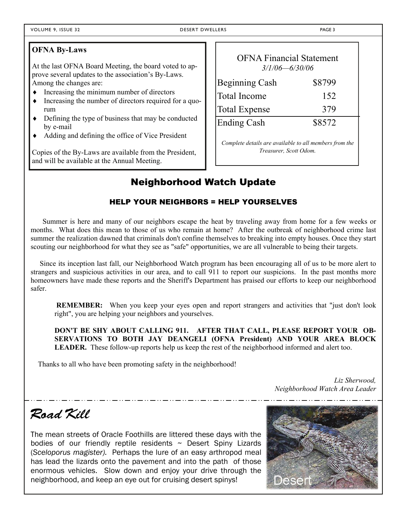#### **OFNA By-Laws**

At the last OFNA Board Meeting, the board voted to approve several updates to the association's By-Laws. Among the changes are:

- $\bullet$  Increasing the minimum number of directors
- Increasing the number of directors required for a quorum
- Defining the type of business that may be conducted by e-mail
- Adding and defining the office of Vice President

Copies of the By-Laws are available from the President, and will be available at the Annual Meeting.

| <b>OFNA Financial Statement</b><br>$3/1/06 - 6/30/06$  |        |
|--------------------------------------------------------|--------|
| <b>Beginning Cash</b>                                  | \$8799 |
| <b>Total Income</b>                                    | 152    |
| <b>Total Expense</b>                                   | 379    |
| <b>Ending Cash</b>                                     | \$8572 |
| Complete details are available to all members from the |        |

*Treasurer, Scott Odom.*

# Neighborhood Watch Update

#### HELP YOUR NEIGHBORS = HELP YOURSELVES

Summer is here and many of our neighbors escape the heat by traveling away from home for a few weeks or months. What does this mean to those of us who remain at home? After the outbreak of neighborhood crime last summer the realization dawned that criminals don't confine themselves to breaking into empty houses. Once they start scouting our neighborhood for what they see as "safe" opportunities, we are all vulnerable to being their targets.

 Since its inception last fall, our Neighborhood Watch program has been encouraging all of us to be more alert to strangers and suspicious activities in our area, and to call 911 to report our suspicions. In the past months more homeowners have made these reports and the Sheriff's Department has praised our efforts to keep our neighborhood safer.

**REMEMBER:** When you keep your eyes open and report strangers and activities that "just don't look right", you are helping your neighbors and yourselves.

**DON'T BE SHY ABOUT CALLING 911. AFTER THAT CALL, PLEASE REPORT YOUR OB-SERVATIONS TO BOTH JAY DEANGELI (OFNA President) AND YOUR AREA BLOCK LEADER.** These follow-up reports help us keep the rest of the neighborhood informed and alert too.

Thanks to all who have been promoting safety in the neighborhood!

 *Liz Sherwood, Neighborhood Watch Area Leader*

# *Road Kill*

The mean streets of Oracle Foothills are littered these days with the bodies of our friendly reptile residents  $\sim$  Desert Spiny Lizards (*Sceloporus magister).* Perhaps the lure of an easy arthropod meal has lead the lizards onto the pavement and into the path of those enormous vehicles. Slow down and enjoy your drive through the neighborhood, and keep an eye out for cruising desert spinys!